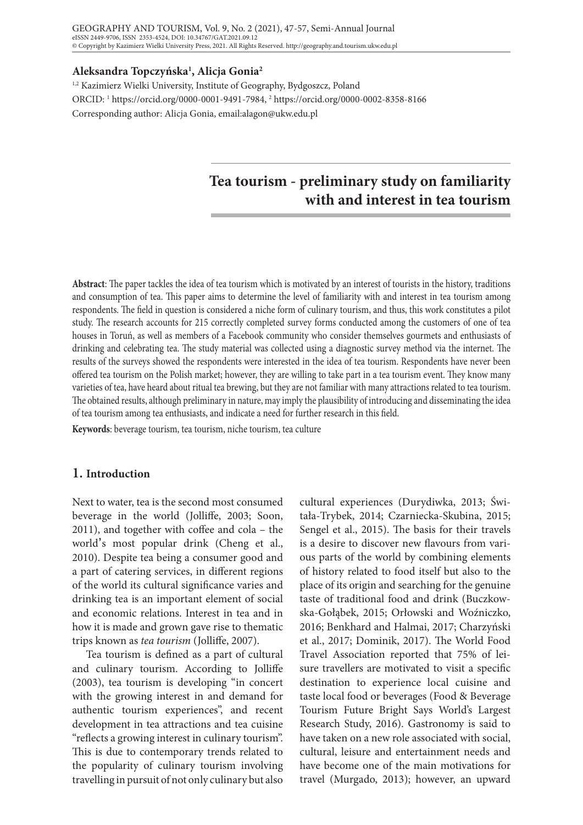#### **Aleksandra Topczyńska1 , Alicja Gonia2**

<sup>1,2</sup> Kazimierz Wielki University, Institute of Geography, Bydgoszcz, Poland ORCID: 1 https://orcid.org/0000-0001-9491-7984, 2 https://orcid.org/0000-0002-8358-8166 Corresponding author: Alicja Gonia, email:alagon@ukw.edu.pl

# **Tea tourism - preliminary study on familiarity with and interest in tea tourism**

**Abstract**: The paper tackles the idea of tea tourism which is motivated by an interest of tourists in the history, traditions and consumption of tea. This paper aims to determine the level of familiarity with and interest in tea tourism among respondents. The field in question is considered a niche form of culinary tourism, and thus, this work constitutes a pilot study. The research accounts for 215 correctly completed survey forms conducted among the customers of one of tea houses in Toruń, as well as members of a Facebook community who consider themselves gourmets and enthusiasts of drinking and celebrating tea. The study material was collected using a diagnostic survey method via the internet. The results of the surveys showed the respondents were interested in the idea of tea tourism. Respondents have never been offered tea tourism on the Polish market; however, they are willing to take part in a tea tourism event. They know many varieties of tea, have heard about ritual tea brewing, but they are not familiar with many attractions related to tea tourism. The obtained results, although preliminary in nature, may imply the plausibility of introducing and disseminating the idea of tea tourism among tea enthusiasts, and indicate a need for further research in this field.

**Keywords**: beverage tourism, tea tourism, niche tourism, tea culture

#### **1. Introduction**

Next to water, tea is the second most consumed beverage in the world (Jolliffe, 2003; Soon, 2011), and together with coffee and cola – the world's most popular drink (Cheng et al., 2010). Despite tea being a consumer good and a part of catering services, in different regions of the world its cultural significance varies and drinking tea is an important element of social and economic relations. Interest in tea and in how it is made and grown gave rise to thematic trips known as *tea tourism* (Jolliffe, 2007).

Tea tourism is defined as a part of cultural and culinary tourism. According to Jolliffe (2003), tea tourism is developing "in concert with the growing interest in and demand for authentic tourism experiences", and recent development in tea attractions and tea cuisine "reflects a growing interest in culinary tourism". This is due to contemporary trends related to the popularity of culinary tourism involving travelling in pursuit of not only culinary but also

cultural experiences (Durydiwka, 2013; Świtała-Trybek, 2014; Czarniecka-Skubina, 2015; Sengel et al., 2015). The basis for their travels is a desire to discover new flavours from various parts of the world by combining elements of history related to food itself but also to the place of its origin and searching for the genuine taste of traditional food and drink (Buczkowska-Gołąbek, 2015; Orłowski and Woźniczko, 2016; Benkhard and Halmai, 2017; Charzyński et al., 2017; Dominik, 2017). The World Food Travel Association reported that 75% of leisure travellers are motivated to visit a specific destination to experience local cuisine and taste local food or beverages (Food & Beverage Tourism Future Bright Says World's Largest Research Study, 2016). Gastronomy is said to have taken on a new role associated with social, cultural, leisure and entertainment needs and have become one of the main motivations for travel (Murgado, 2013); however, an upward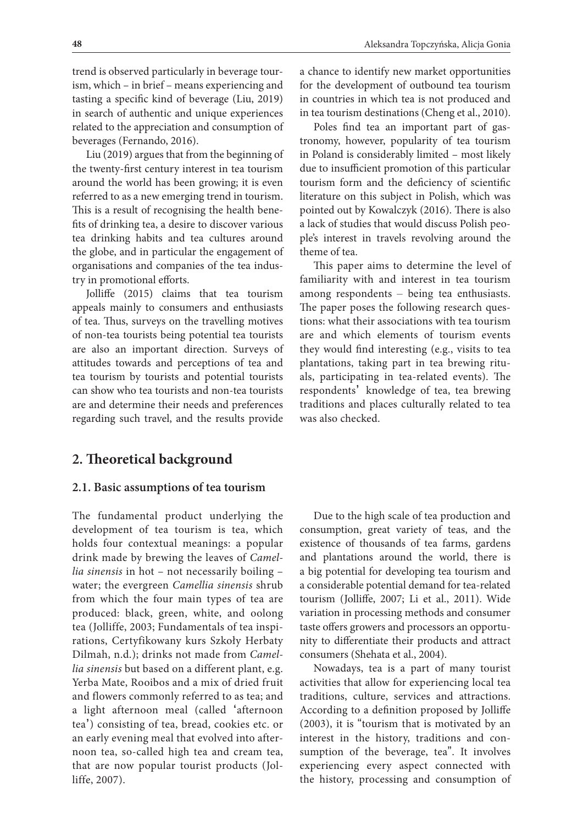trend is observed particularly in beverage tourism, which – in brief – means experiencing and tasting a specific kind of beverage (Liu, 2019) in search of authentic and unique experiences related to the appreciation and consumption of beverages (Fernando, 2016).

Liu (2019) argues that from the beginning of the twenty-first century interest in tea tourism around the world has been growing; it is even referred to as a new emerging trend in tourism. This is a result of recognising the health benefits of drinking tea, a desire to discover various tea drinking habits and tea cultures around the globe, and in particular the engagement of organisations and companies of the tea industry in promotional efforts.

Jolliffe (2015) claims that tea tourism appeals mainly to consumers and enthusiasts of tea. Thus, surveys on the travelling motives of non-tea tourists being potential tea tourists are also an important direction. Surveys of attitudes towards and perceptions of tea and tea tourism by tourists and potential tourists can show who tea tourists and non-tea tourists are and determine their needs and preferences regarding such travel, and the results provide

## **2. Theoretical background**

#### **2.1. Basic assumptions of tea tourism**

The fundamental product underlying the development of tea tourism is tea, which holds four contextual meanings: a popular drink made by brewing the leaves of *Camellia sinensis* in hot – not necessarily boiling – water; the evergreen *Camellia sinensis* shrub from which the four main types of tea are produced: black, green, white, and oolong tea (Jolliffe, 2003; Fundamentals of tea inspirations, Certyfikowany kurs Szkoły Herbaty Dilmah, n.d.); drinks not made from *Camellia sinensis* but based on a different plant, e.g. Yerba Mate, Rooibos and a mix of dried fruit and flowers commonly referred to as tea; and a light afternoon meal (called 'afternoon tea') consisting of tea, bread, cookies etc. or an early evening meal that evolved into afternoon tea, so-called high tea and cream tea, that are now popular tourist products (Jolliffe, 2007).

a chance to identify new market opportunities for the development of outbound tea tourism in countries in which tea is not produced and in tea tourism destinations (Cheng et al., 2010).

Poles find tea an important part of gastronomy, however, popularity of tea tourism in Poland is considerably limited – most likely due to insufficient promotion of this particular tourism form and the deficiency of scientific literature on this subject in Polish, which was pointed out by Kowalczyk (2016). There is also a lack of studies that would discuss Polish people's interest in travels revolving around the theme of tea.

This paper aims to determine the level of familiarity with and interest in tea tourism among respondents – being tea enthusiasts. The paper poses the following research questions: what their associations with tea tourism are and which elements of tourism events they would find interesting (e.g., visits to tea plantations, taking part in tea brewing rituals, participating in tea-related events). The respondents' knowledge of tea, tea brewing traditions and places culturally related to tea was also checked.

Due to the high scale of tea production and consumption, great variety of teas, and the existence of thousands of tea farms, gardens and plantations around the world, there is a big potential for developing tea tourism and a considerable potential demand for tea-related tourism (Jolliffe, 2007; Li et al., 2011). Wide variation in processing methods and consumer taste offers growers and processors an opportunity to differentiate their products and attract consumers (Shehata et al., 2004).

Nowadays, tea is a part of many tourist activities that allow for experiencing local tea traditions, culture, services and attractions. According to a definition proposed by Jolliffe (2003), it is "tourism that is motivated by an interest in the history, traditions and consumption of the beverage, tea". It involves experiencing every aspect connected with the history, processing and consumption of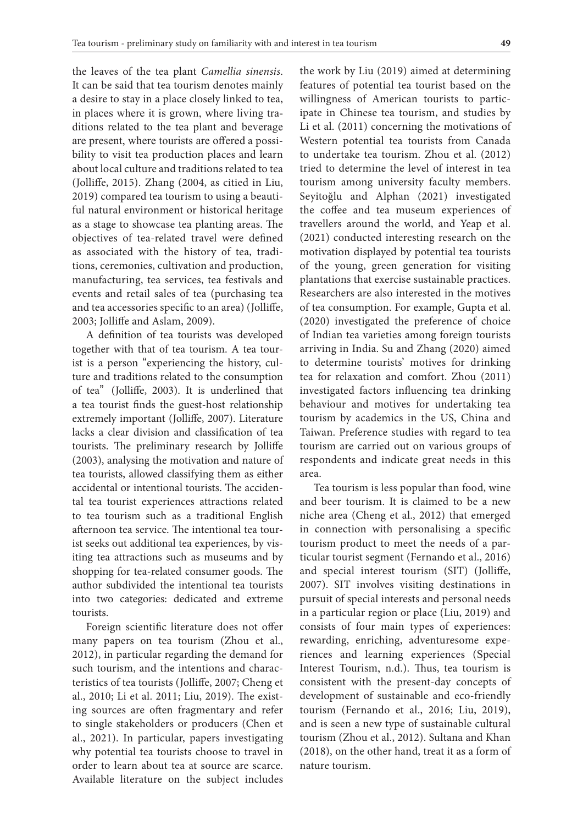the leaves of the tea plant *Camellia sinensis*. It can be said that tea tourism denotes mainly a desire to stay in a place closely linked to tea, in places where it is grown, where living traditions related to the tea plant and beverage are present, where tourists are offered a possibility to visit tea production places and learn about local culture and traditions related to tea (Jolliffe, 2015). Zhang (2004, as citied in Liu, 2019) compared tea tourism to using a beautiful natural environment or historical heritage as a stage to showcase tea planting areas. The objectives of tea-related travel were defined as associated with the history of tea, traditions, ceremonies, cultivation and production, manufacturing, tea services, tea festivals and events and retail sales of tea (purchasing tea and tea accessories specific to an area) (Jolliffe, 2003; Jolliffe and Aslam, 2009).

A definition of tea tourists was developed together with that of tea tourism. A tea tourist is a person "experiencing the history, culture and traditions related to the consumption of tea" (Jolliffe, 2003). It is underlined that a tea tourist finds the guest-host relationship extremely important (Jolliffe, 2007). Literature lacks a clear division and classification of tea tourists. The preliminary research by Jolliffe (2003), analysing the motivation and nature of tea tourists, allowed classifying them as either accidental or intentional tourists. The accidental tea tourist experiences attractions related to tea tourism such as a traditional English afternoon tea service. The intentional tea tourist seeks out additional tea experiences, by visiting tea attractions such as museums and by shopping for tea-related consumer goods. The author subdivided the intentional tea tourists into two categories: dedicated and extreme tourists.

Foreign scientific literature does not offer many papers on tea tourism (Zhou et al., 2012), in particular regarding the demand for such tourism, and the intentions and characteristics of tea tourists (Jolliffe, 2007; Cheng et al., 2010; Li et al. 2011; Liu, 2019). The existing sources are often fragmentary and refer to single stakeholders or producers (Chen et al., 2021). In particular, papers investigating why potential tea tourists choose to travel in order to learn about tea at source are scarce. Available literature on the subject includes the work by Liu (2019) aimed at determining features of potential tea tourist based on the willingness of American tourists to participate in Chinese tea tourism, and studies by Li et al. (2011) concerning the motivations of Western potential tea tourists from Canada to undertake tea tourism. Zhou et al. (2012) tried to determine the level of interest in tea tourism among university faculty members. Seyitoğlu and Alphan (2021) investigated the coffee and tea museum experiences of travellers around the world, and Yeap et al. (2021) conducted interesting research on the motivation displayed by potential tea tourists of the young, green generation for visiting plantations that exercise sustainable practices. Researchers are also interested in the motives of tea consumption. For example, Gupta et al. (2020) investigated the preference of choice of Indian tea varieties among foreign tourists arriving in India. Su and Zhang (2020) aimed to determine tourists' motives for drinking tea for relaxation and comfort. Zhou (2011) investigated factors influencing tea drinking behaviour and motives for undertaking tea tourism by academics in the US, China and Taiwan. Preference studies with regard to tea tourism are carried out on various groups of respondents and indicate great needs in this area.

Tea tourism is less popular than food, wine and beer tourism. It is claimed to be a new niche area (Cheng et al., 2012) that emerged in connection with personalising a specific tourism product to meet the needs of a particular tourist segment (Fernando et al., 2016) and special interest tourism (SIT) (Jolliffe, 2007). SIT involves visiting destinations in pursuit of special interests and personal needs in a particular region or place (Liu, 2019) and consists of four main types of experiences: rewarding, enriching, adventuresome experiences and learning experiences (Special Interest Tourism, n.d.). Thus, tea tourism is consistent with the present-day concepts of development of sustainable and eco-friendly tourism (Fernando et al., 2016; Liu, 2019), and is seen a new type of sustainable cultural tourism (Zhou et al., 2012). Sultana and Khan (2018), on the other hand, treat it as a form of nature tourism.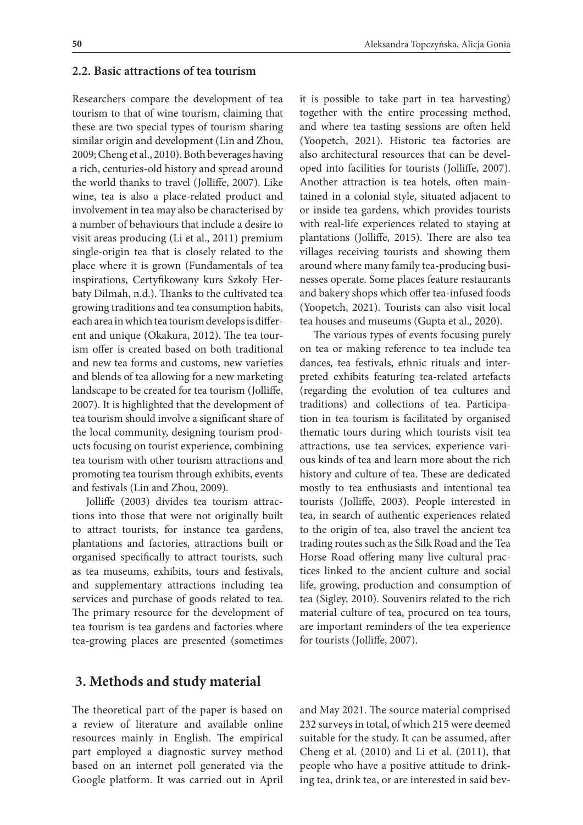### **2.2. Basic attractions of tea tourism**

Researchers compare the development of tea tourism to that of wine tourism, claiming that these are two special types of tourism sharing similar origin and development (Lin and Zhou, 2009; Cheng et al., 2010). Both beverages having a rich, centuries-old history and spread around the world thanks to travel (Jolliffe, 2007). Like wine, tea is also a place-related product and involvement in tea may also be characterised by a number of behaviours that include a desire to visit areas producing (Li et al., 2011) premium single-origin tea that is closely related to the place where it is grown (Fundamentals of tea inspirations, Certyfikowany kurs Szkoły Herbaty Dilmah, n.d.). Thanks to the cultivated tea growing traditions and tea consumption habits, each area in which tea tourism develops is different and unique (Okakura, 2012). The tea tourism offer is created based on both traditional and new tea forms and customs, new varieties and blends of tea allowing for a new marketing landscape to be created for tea tourism (Jolliffe, 2007). It is highlighted that the development of tea tourism should involve a significant share of the local community, designing tourism products focusing on tourist experience, combining tea tourism with other tourism attractions and promoting tea tourism through exhibits, events and festivals (Lin and Zhou, 2009).

Jolliffe (2003) divides tea tourism attractions into those that were not originally built to attract tourists, for instance tea gardens, plantations and factories, attractions built or organised specifically to attract tourists, such as tea museums, exhibits, tours and festivals, and supplementary attractions including tea services and purchase of goods related to tea. The primary resource for the development of tea tourism is tea gardens and factories where tea-growing places are presented (sometimes

it is possible to take part in tea harvesting) together with the entire processing method, and where tea tasting sessions are often held (Yoopetch, 2021). Historic tea factories are also architectural resources that can be developed into facilities for tourists (Jolliffe, 2007). Another attraction is tea hotels, often maintained in a colonial style, situated adjacent to or inside tea gardens, which provides tourists with real-life experiences related to staying at plantations (Jolliffe, 2015). There are also tea villages receiving tourists and showing them around where many family tea-producing businesses operate. Some places feature restaurants and bakery shops which offer tea-infused foods (Yoopetch, 2021). Tourists can also visit local tea houses and museums (Gupta et al., 2020).

The various types of events focusing purely on tea or making reference to tea include tea dances, tea festivals, ethnic rituals and interpreted exhibits featuring tea-related artefacts (regarding the evolution of tea cultures and traditions) and collections of tea. Participation in tea tourism is facilitated by organised thematic tours during which tourists visit tea attractions, use tea services, experience various kinds of tea and learn more about the rich history and culture of tea. These are dedicated mostly to tea enthusiasts and intentional tea tourists (Jolliffe, 2003). People interested in tea, in search of authentic experiences related to the origin of tea, also travel the ancient tea trading routes such as the Silk Road and the Tea Horse Road offering many live cultural practices linked to the ancient culture and social life, growing, production and consumption of tea (Sigley, 2010). Souvenirs related to the rich material culture of tea, procured on tea tours, are important reminders of the tea experience for tourists (Jolliffe, 2007).

#### **3. Methods and study material**

The theoretical part of the paper is based on a review of literature and available online resources mainly in English. The empirical part employed a diagnostic survey method based on an internet poll generated via the Google platform. It was carried out in April

and May 2021. The source material comprised 232 surveys in total, of which 215 were deemed suitable for the study. It can be assumed, after Cheng et al. (2010) and Li et al. (2011), that people who have a positive attitude to drinking tea, drink tea, or are interested in said bev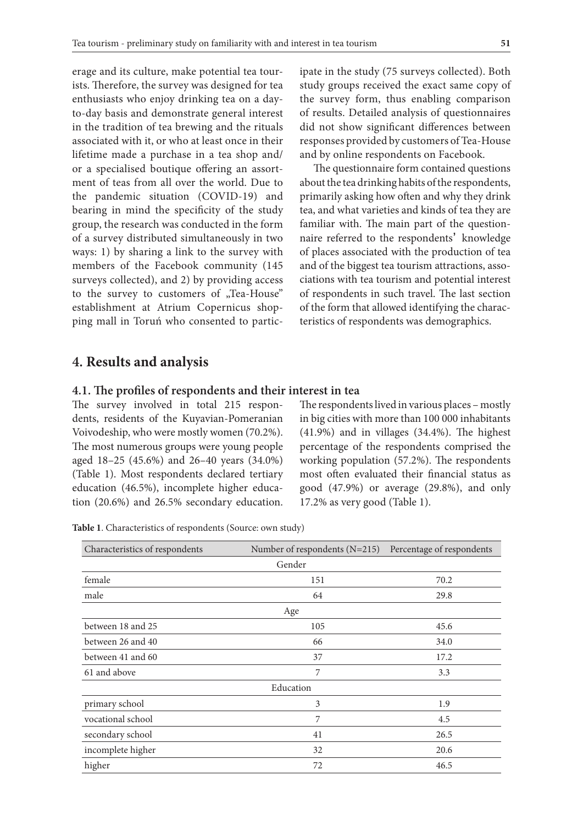erage and its culture, make potential tea tourists. Therefore, the survey was designed for tea enthusiasts who enjoy drinking tea on a dayto-day basis and demonstrate general interest in the tradition of tea brewing and the rituals associated with it, or who at least once in their lifetime made a purchase in a tea shop and/ or a specialised boutique offering an assortment of teas from all over the world. Due to the pandemic situation (COVID-19) and bearing in mind the specificity of the study group, the research was conducted in the form of a survey distributed simultaneously in two ways: 1) by sharing a link to the survey with members of the Facebook community (145 surveys collected), and 2) by providing access to the survey to customers of "Tea-House" establishment at Atrium Copernicus shopping mall in Toruń who consented to participate in the study (75 surveys collected). Both study groups received the exact same copy of the survey form, thus enabling comparison of results. Detailed analysis of questionnaires did not show significant differences between responses provided by customers of Tea-House and by online respondents on Facebook.

The questionnaire form contained questions about the tea drinking habits of the respondents, primarily asking how often and why they drink tea, and what varieties and kinds of tea they are familiar with. The main part of the questionnaire referred to the respondents' knowledge of places associated with the production of tea and of the biggest tea tourism attractions, associations with tea tourism and potential interest of respondents in such travel. The last section of the form that allowed identifying the characteristics of respondents was demographics.

## **4. Results and analysis**

#### **4.1. The profiles of respondents and their interest in tea**

The survey involved in total 215 respondents, residents of the Kuyavian-Pomeranian Voivodeship, who were mostly women (70.2%). The most numerous groups were young people aged 18–25 (45.6%) and 26–40 years (34.0%) (Table 1). Most respondents declared tertiary education (46.5%), incomplete higher education (20.6%) and 26.5% secondary education.

The respondents lived in various places – mostly in big cities with more than 100 000 inhabitants (41.9%) and in villages (34.4%). The highest percentage of the respondents comprised the working population (57.2%). The respondents most often evaluated their financial status as good (47.9%) or average (29.8%), and only 17.2% as very good (Table 1).

| Characteristics of respondents | Number of respondents (N=215) Percentage of respondents |      |  |
|--------------------------------|---------------------------------------------------------|------|--|
| Gender                         |                                                         |      |  |
| female                         | 151                                                     | 70.2 |  |
| male                           | 64                                                      | 29.8 |  |
| Age                            |                                                         |      |  |
| between 18 and 25              | 105                                                     | 45.6 |  |
| between 26 and 40              | 66                                                      | 34.0 |  |
| between 41 and 60              | 37                                                      | 17.2 |  |
| 61 and above                   | 7                                                       | 3.3  |  |
| Education                      |                                                         |      |  |
| primary school                 | 3                                                       | 1.9  |  |
| vocational school              | 7                                                       | 4.5  |  |
| secondary school               | 41                                                      | 26.5 |  |
| incomplete higher              | 32                                                      | 20.6 |  |
| higher                         | 72                                                      | 46.5 |  |

**Table 1**. Characteristics of respondents (Source: own study)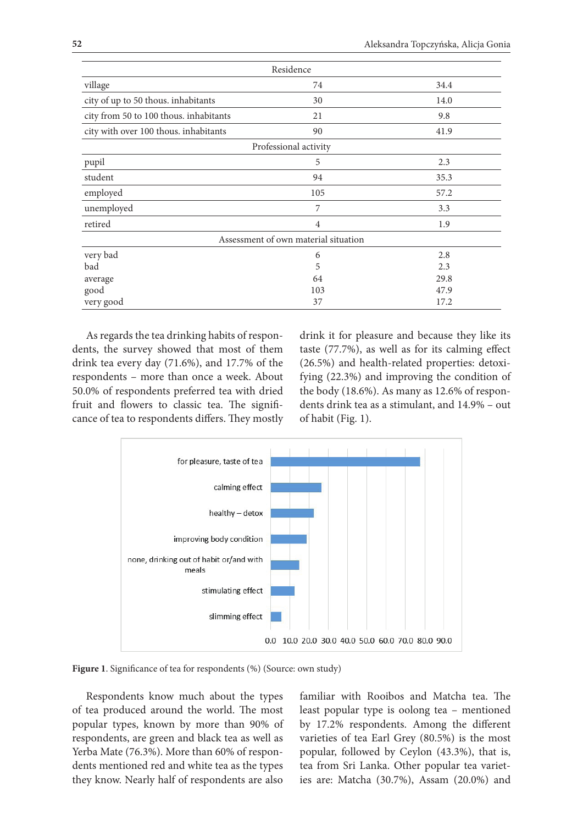| Residence                              |                |      |  |  |
|----------------------------------------|----------------|------|--|--|
| village                                | 74             | 34.4 |  |  |
| city of up to 50 thous. inhabitants    | 30             | 14.0 |  |  |
| city from 50 to 100 thous. inhabitants | 21             | 9.8  |  |  |
| city with over 100 thous. inhabitants  | 90             | 41.9 |  |  |
| Professional activity                  |                |      |  |  |
| pupil                                  | 5              | 2.3  |  |  |
| student                                | 94             | 35.3 |  |  |
| employed                               | 105            | 57.2 |  |  |
| unemployed                             | 7              | 3.3  |  |  |
| retired                                | $\overline{4}$ | 1.9  |  |  |
| Assessment of own material situation   |                |      |  |  |
| very bad                               | 6              | 2.8  |  |  |
| bad                                    | 5              | 2.3  |  |  |
| average                                | 64             | 29.8 |  |  |
| good                                   | 103            | 47.9 |  |  |
| very good                              | 37             | 17.2 |  |  |

As regards the tea drinking habits of respondents, the survey showed that most of them drink tea every day (71.6%), and 17.7% of the respondents – more than once a week. About 50.0% of respondents preferred tea with dried fruit and flowers to classic tea. The significance of tea to respondents differs. They mostly drink it for pleasure and because they like its taste (77.7%), as well as for its calming effect (26.5%) and health-related properties: detoxifying (22.3%) and improving the condition of the body (18.6%). As many as 12.6% of respondents drink tea as a stimulant, and 14.9% – out of habit (Fig. 1).



Figure 1. Significance of tea for respondents (%) (Source: own study)

Respondents know much about the types of tea produced around the world. The most popular types, known by more than 90% of respondents, are green and black tea as well as Yerba Mate (76.3%). More than 60% of respondents mentioned red and white tea as the types they know. Nearly half of respondents are also

familiar with Rooibos and Matcha tea. The least popular type is oolong tea – mentioned by 17.2% respondents. Among the different varieties of tea Earl Grey (80.5%) is the most popular, followed by Ceylon (43.3%), that is, tea from Sri Lanka. Other popular tea varieties are: Matcha (30.7%), Assam (20.0%) and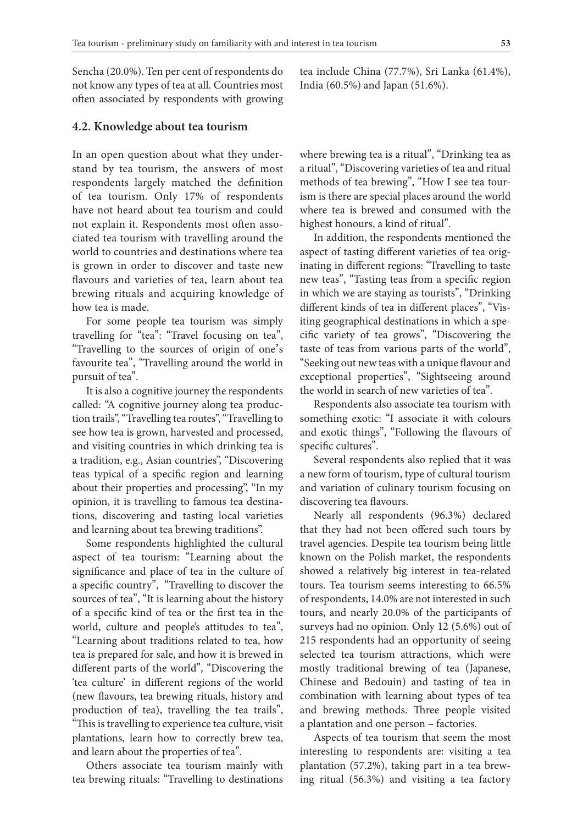Sencha (20.0%). Ten per cent of respondents do not know any types of tea at all. Countries most often associated by respondents with growing

**4.2. Knowledge about tea tourism**

In an open question about what they understand by tea tourism, the answers of most respondents largely matched the definition of tea tourism. Only 17% of respondents have not heard about tea tourism and could not explain it. Respondents most often associated tea tourism with travelling around the world to countries and destinations where tea is grown in order to discover and taste new flavours and varieties of tea, learn about tea brewing rituals and acquiring knowledge of how tea is made.

For some people tea tourism was simply travelling for "tea": "Travel focusing on tea", "Travelling to the sources of origin of one's favourite tea", "Travelling around the world in pursuit of tea".

It is also a cognitive journey the respondents called: "A cognitive journey along tea production trails", "Travelling tea routes", "Travelling to see how tea is grown, harvested and processed, and visiting countries in which drinking tea is a tradition, e.g., Asian countries", "Discovering teas typical of a specific region and learning about their properties and processing", "In my opinion, it is travelling to famous tea destinations, discovering and tasting local varieties and learning about tea brewing traditions".

Some respondents highlighted the cultural aspect of tea tourism: "Learning about the significance and place of tea in the culture of a specific country", "Travelling to discover the sources of tea", "It is learning about the history of a specific kind of tea or the first tea in the world, culture and people's attitudes to tea", "Learning about traditions related to tea, how tea is prepared for sale, and how it is brewed in different parts of the world", "Discovering the 'tea culture' in different regions of the world (new flavours, tea brewing rituals, history and production of tea), travelling the tea trails", "This is travelling to experience tea culture, visit plantations, learn how to correctly brew tea, and learn about the properties of tea".

Others associate tea tourism mainly with tea brewing rituals: "Travelling to destinations tea include China (77.7%), Sri Lanka (61.4%), India (60.5%) and Japan (51.6%).

where brewing tea is a ritual", "Drinking tea as a ritual", "Discovering varieties of tea and ritual methods of tea brewing", "How I see tea tourism is there are special places around the world where tea is brewed and consumed with the highest honours, a kind of ritual".

In addition, the respondents mentioned the aspect of tasting different varieties of tea originating in different regions: "Travelling to taste new teas", "Tasting teas from a specific region in which we are staying as tourists", "Drinking different kinds of tea in different places", "Visiting geographical destinations in which a specific variety of tea grows", "Discovering the taste of teas from various parts of the world", "Seeking out new teas with a unique flavour and exceptional properties", "Sightseeing around the world in search of new varieties of tea".

Respondents also associate tea tourism with something exotic: "I associate it with colours and exotic things", "Following the flavours of specific cultures".

Several respondents also replied that it was a new form of tourism, type of cultural tourism and variation of culinary tourism focusing on discovering tea flavours.

Nearly all respondents (96.3%) declared that they had not been offered such tours by travel agencies. Despite tea tourism being little known on the Polish market, the respondents showed a relatively big interest in tea-related tours. Tea tourism seems interesting to 66.5% of respondents, 14.0% are not interested in such tours, and nearly 20.0% of the participants of surveys had no opinion. Only 12 (5.6%) out of 215 respondents had an opportunity of seeing selected tea tourism attractions, which were mostly traditional brewing of tea (Japanese, Chinese and Bedouin) and tasting of tea in combination with learning about types of tea and brewing methods. Three people visited a plantation and one person – factories.

Aspects of tea tourism that seem the most interesting to respondents are: visiting a tea plantation (57.2%), taking part in a tea brewing ritual (56.3%) and visiting a tea factory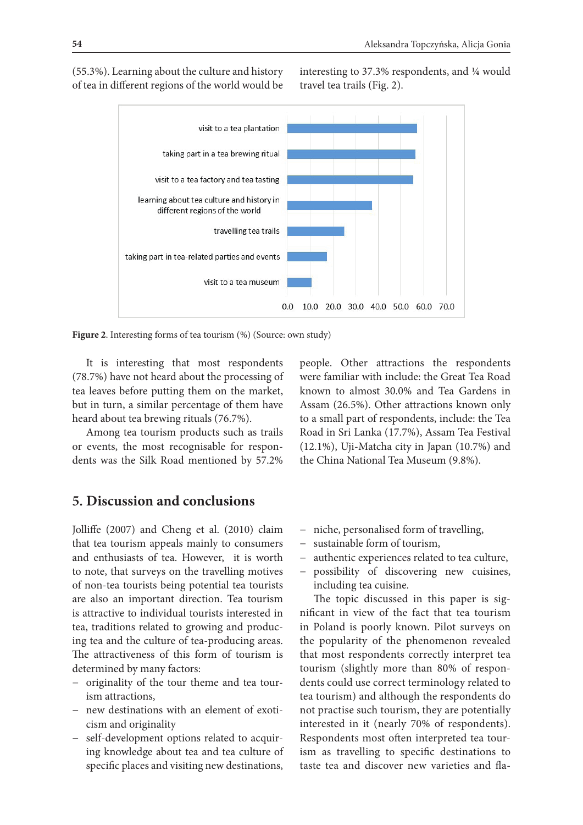(55.3%). Learning about the culture and history of tea in different regions of the world would be interesting to 37.3% respondents, and ¼ would travel tea trails (Fig. 2).



Figure 2. Interesting forms of tea tourism (%) (Source: own study)

It is interesting that most respondents (78.7%) have not heard about the processing of tea leaves before putting them on the market, but in turn, a similar percentage of them have heard about tea brewing rituals (76.7%).

Among tea tourism products such as trails or events, the most recognisable for respondents was the Silk Road mentioned by 57.2%

people. Other attractions the respondents were familiar with include: the Great Tea Road known to almost 30.0% and Tea Gardens in Assam (26.5%). Other attractions known only to a small part of respondents, include: the Tea Road in Sri Lanka (17.7%), Assam Tea Festival (12.1%), Uji-Matcha city in Japan (10.7%) and the China National Tea Museum (9.8%).

## **5. Discussion and conclusions**

Jolliffe (2007) and Cheng et al. (2010) claim that tea tourism appeals mainly to consumers and enthusiasts of tea. However, it is worth to note, that surveys on the travelling motives of non-tea tourists being potential tea tourists are also an important direction. Tea tourism is attractive to individual tourists interested in tea, traditions related to growing and producing tea and the culture of tea-producing areas. The attractiveness of this form of tourism is determined by many factors:

- − originality of the tour theme and tea tourism attractions,
- − new destinations with an element of exoticism and originality
- − self-development options related to acquiring knowledge about tea and tea culture of specific places and visiting new destinations,
- niche, personalised form of travelling,
- sustainable form of tourism,
- − authentic experiences related to tea culture,
- possibility of discovering new cuisines, including tea cuisine.

The topic discussed in this paper is significant in view of the fact that tea tourism in Poland is poorly known. Pilot surveys on the popularity of the phenomenon revealed that most respondents correctly interpret tea tourism (slightly more than 80% of respondents could use correct terminology related to tea tourism) and although the respondents do not practise such tourism, they are potentially interested in it (nearly 70% of respondents). Respondents most often interpreted tea tourism as travelling to specific destinations to taste tea and discover new varieties and fla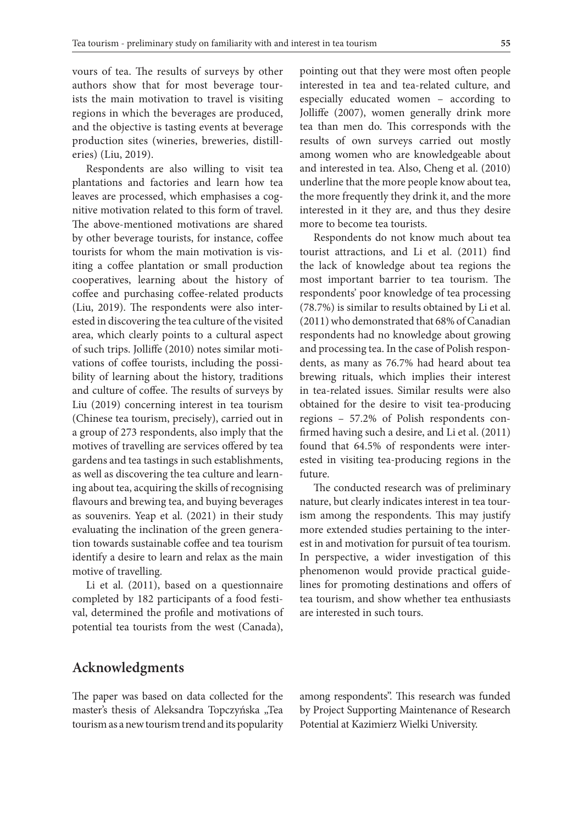vours of tea. The results of surveys by other authors show that for most beverage tourists the main motivation to travel is visiting regions in which the beverages are produced, and the objective is tasting events at beverage production sites (wineries, breweries, distilleries) (Liu, 2019).

Respondents are also willing to visit tea plantations and factories and learn how tea leaves are processed, which emphasises a cognitive motivation related to this form of travel. The above-mentioned motivations are shared by other beverage tourists, for instance, coffee tourists for whom the main motivation is visiting a coffee plantation or small production cooperatives, learning about the history of coffee and purchasing coffee-related products (Liu, 2019). The respondents were also interested in discovering the tea culture of the visited area, which clearly points to a cultural aspect of such trips. Jolliffe (2010) notes similar motivations of coffee tourists, including the possibility of learning about the history, traditions and culture of coffee. The results of surveys by Liu (2019) concerning interest in tea tourism (Chinese tea tourism, precisely), carried out in a group of 273 respondents, also imply that the motives of travelling are services offered by tea gardens and tea tastings in such establishments, as well as discovering the tea culture and learning about tea, acquiring the skills of recognising flavours and brewing tea, and buying beverages as souvenirs. Yeap et al. (2021) in their study evaluating the inclination of the green generation towards sustainable coffee and tea tourism identify a desire to learn and relax as the main motive of travelling.

Li et al. (2011), based on a questionnaire completed by 182 participants of a food festival, determined the profile and motivations of potential tea tourists from the west (Canada),

pointing out that they were most often people interested in tea and tea-related culture, and especially educated women – according to Jolliffe (2007), women generally drink more tea than men do. This corresponds with the results of own surveys carried out mostly among women who are knowledgeable about and interested in tea. Also, Cheng et al. (2010) underline that the more people know about tea, the more frequently they drink it, and the more interested in it they are, and thus they desire more to become tea tourists.

Respondents do not know much about tea tourist attractions, and Li et al. (2011) find the lack of knowledge about tea regions the most important barrier to tea tourism. The respondents' poor knowledge of tea processing (78.7%) is similar to results obtained by Li et al. (2011) who demonstrated that 68% of Canadian respondents had no knowledge about growing and processing tea. In the case of Polish respondents, as many as 76.7% had heard about tea brewing rituals, which implies their interest in tea-related issues. Similar results were also obtained for the desire to visit tea-producing regions – 57.2% of Polish respondents confirmed having such a desire, and Li et al. (2011) found that 64.5% of respondents were interested in visiting tea-producing regions in the future.

The conducted research was of preliminary nature, but clearly indicates interest in tea tourism among the respondents. This may justify more extended studies pertaining to the interest in and motivation for pursuit of tea tourism. In perspective, a wider investigation of this phenomenon would provide practical guidelines for promoting destinations and offers of tea tourism, and show whether tea enthusiasts are interested in such tours.

## **Acknowledgments**

The paper was based on data collected for the master's thesis of Aleksandra Topczyńska "Tea tourism as a new tourism trend and its popularity

among respondents". This research was funded by Project Supporting Maintenance of Research Potential at Kazimierz Wielki University.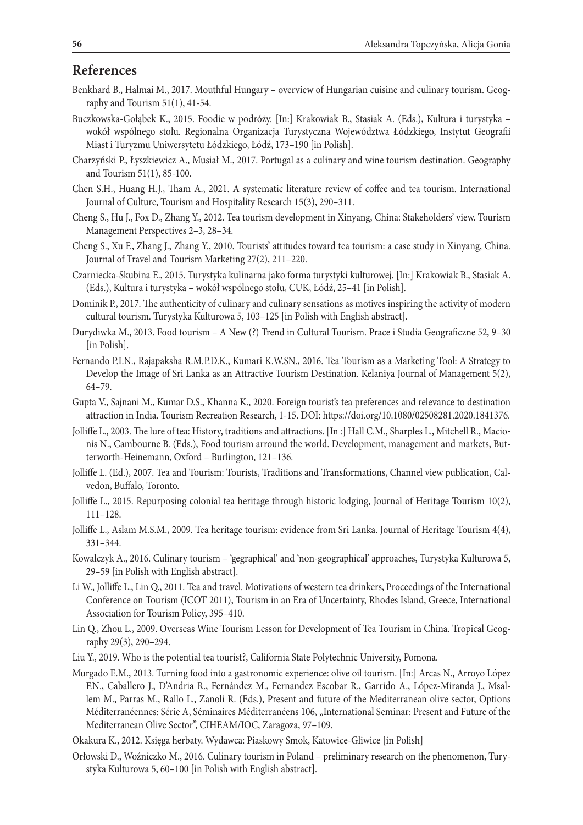## **References**

- Benkhard B., Halmai M., 2017. Mouthful Hungary overview of Hungarian cuisine and culinary tourism. Geography and Tourism 51(1), 41-54.
- Buczkowska-Gołąbek K., 2015. Foodie w podróży. [In:] Krakowiak B., Stasiak A. (Eds.), Kultura i turystyka wokół wspólnego stołu. Regionalna Organizacja Turystyczna Województwa Łódzkiego, Instytut Geografii Miast i Turyzmu Uniwersytetu Łódzkiego, Łódź, 173–190 [in Polish].
- Charzyński P., Łyszkiewicz A., Musiał M., 2017. Portugal as a culinary and wine tourism destination. Geography and Tourism 51(1), 85-100.
- Chen S.H., Huang H.J., Tham A., 2021. A systematic literature review of coffee and tea tourism. International Journal of Culture, Tourism and Hospitality Research 15(3), 290–311.
- Cheng S., Hu J., Fox D., Zhang Y., 2012. Tea tourism development in Xinyang, China: Stakeholders' view. Tourism Management Perspectives 2–3, 28–34.
- Cheng S., Xu F., Zhang J., Zhang Y., 2010. Tourists' attitudes toward tea tourism: a case study in Xinyang, China. Journal of Travel and Tourism Marketing 27(2), 211–220.
- Czarniecka-Skubina E., 2015. Turystyka kulinarna jako forma turystyki kulturowej. [In:] Krakowiak B., Stasiak A. (Eds.), Kultura i turystyka – wokół wspólnego stołu, CUK, Łódź, 25–41 [in Polish].
- Dominik P., 2017. The authenticity of culinary and culinary sensations as motives inspiring the activity of modern cultural tourism. Turystyka Kulturowa 5, 103–125 [in Polish with English abstract].
- Durydiwka M., 2013. Food tourism A New (?) Trend in Cultural Tourism. Prace i Studia Geograficzne 52, 9–30 [in Polish].
- Fernando P.I.N., Rajapaksha R.M.P.D.K., Kumari K.W.SN., 2016. Tea Tourism as a Marketing Tool: A Strategy to Develop the Image of Sri Lanka as an Attractive Tourism Destination. Kelaniya Journal of Management 5(2), 64–79.
- Gupta V., Sajnani M., Kumar D.S., Khanna K., 2020. Foreign tourist's tea preferences and relevance to destination attraction in India. Tourism Recreation Research, 1-15. DOI: https://doi.org/10.1080/02508281.2020.1841376.
- Jolliffe L., 2003. The lure of tea: History, traditions and attractions. [In :] Hall C.M., Sharples L., Mitchell R., Macionis N., Cambourne B. (Eds.), Food tourism arround the world. Development, management and markets, Butterworth-Heinemann, Oxford – Burlington, 121–136.
- Jolliffe L. (Ed.), 2007. Tea and Tourism: Tourists, Traditions and Transformations, Channel view publication, Calvedon, Buffalo, Toronto.
- Jolliffe L., 2015. Repurposing colonial tea heritage through historic lodging, Journal of Heritage Tourism 10(2), 111–128.
- Jolliffe L., Aslam M.S.M., 2009. Tea heritage tourism: evidence from Sri Lanka. Journal of Heritage Tourism 4(4), 331–344.
- Kowalczyk A., 2016. Culinary tourism 'gegraphical' and 'non-geographical' approaches, Turystyka Kulturowa 5, 29–59 [in Polish with English abstract].
- Li W., Jolliffe L., Lin Q., 2011. Tea and travel. Motivations of western tea drinkers, Proceedings of the International Conference on Tourism (ICOT 2011), Tourism in an Era of Uncertainty, Rhodes Island, Greece, International Association for Tourism Policy, 395–410.
- Lin Q., Zhou L., 2009. Overseas Wine Tourism Lesson for Development of Tea Tourism in China. Tropical Geography 29(3), 290–294.
- Liu Y., 2019. Who is the potential tea tourist?, California State Polytechnic University, Pomona.
- Murgado E.M., 2013. Turning food into a gastronomic experience: olive oil tourism. [In:] Arcas N., Arroyo López F.N., Caballero J., D'Andria R., Fernández M., Fernandez Escobar R., Garrido A., López-Miranda J., Msallem M., Parras M., Rallo L., Zanoli R. (Eds.), Present and future of the Mediterranean olive sector, Options Méditerranéennes: Série A, Séminaires Méditerranéens 106, "International Seminar: Present and Future of the Mediterranean Olive Sector", CIHEAM/IOC, Zaragoza, 97–109.
- Okakura K., 2012. Księga herbaty. Wydawca: Piaskowy Smok, Katowice-Gliwice [in Polish]
- Orłowski D., Woźniczko M., 2016. Culinary tourism in Poland preliminary research on the phenomenon, Turystyka Kulturowa 5, 60–100 [in Polish with English abstract].